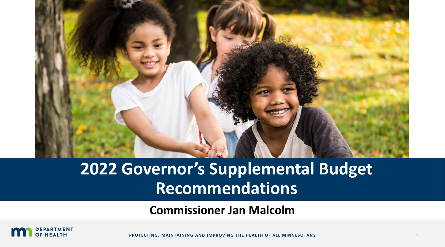

# **2022 Governor's Supplemental Budget Recommendations**

**Commissioner Jan Malcolm**



**PROTECTING, MAINTAINING AND IMPROVING THE HEALTH OF ALL MINNESOTANS** 1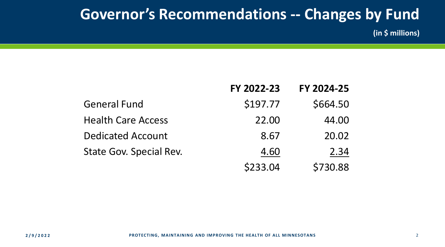## **Governor's Recommendations -- Changes by Fund**

**(in \$ millions)**

|                           | FY 2022-23 | FY 2024-25 |
|---------------------------|------------|------------|
| <b>General Fund</b>       | \$197.77   | \$664.50   |
| <b>Health Care Access</b> | 22.00      | 44.00      |
| <b>Dedicated Account</b>  | 8.67       | 20.02      |
| State Gov. Special Rev.   | 4.60       | 2.34       |
|                           | \$233.04   | \$730.88   |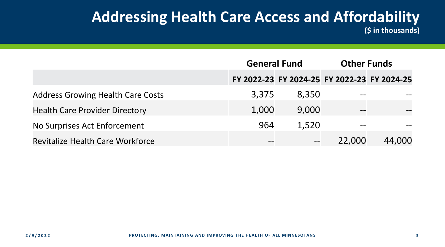#### **Addressing Health Care Access and Affordability (\$ in thousands)**

|                                          | <b>General Fund</b> |                                             | <b>Other Funds</b> |        |
|------------------------------------------|---------------------|---------------------------------------------|--------------------|--------|
|                                          |                     | FY 2022-23 FY 2024-25 FY 2022-23 FY 2024-25 |                    |        |
| <b>Address Growing Health Care Costs</b> | 3,375               | 8,350                                       | $- -$              |        |
| <b>Health Care Provider Directory</b>    | 1,000               | 9,000                                       | $- -$              |        |
| No Surprises Act Enforcement             | 964                 | 1,520                                       |                    |        |
| <b>Revitalize Health Care Workforce</b>  | $ -$                | $\qquad \qquad -$                           | 22,000             | 44,000 |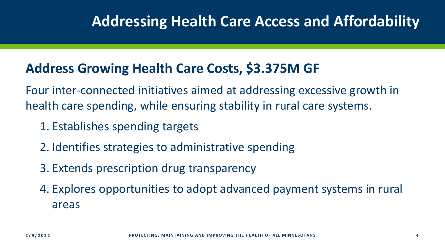## **Addressing Health Care Access and Affordability**

#### **Address Growing Health Care Costs, \$3.375M GF**

Four inter-connected initiatives aimed at addressing excessive growth in health care spending, while ensuring stability in rural care systems.

- 1. Establishes spending targets
- 2. Identifies strategies to administrative spending
- 3. Extends prescription drug transparency
- 4. Explores opportunities to adopt advanced payment systems in rural areas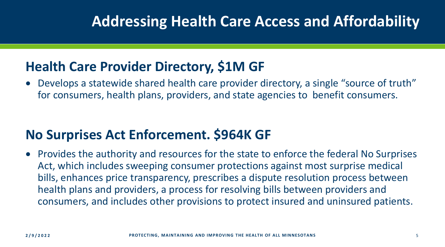## **Addressing Health Care Access and Affordability**

#### **Health Care Provider Directory, \$1M GF**

• Develops a statewide shared health care provider directory, a single "source of truth" for consumers, health plans, providers, and state agencies to benefit consumers.

#### **No Surprises Act Enforcement. \$964K GF**

• Provides the authority and resources for the state to enforce the federal No Surprises Act, which includes sweeping consumer protections against most surprise medical bills, enhances price transparency, prescribes a dispute resolution process between health plans and providers, a process for resolving bills between providers and consumers, and includes other provisions to protect insured and uninsured patients.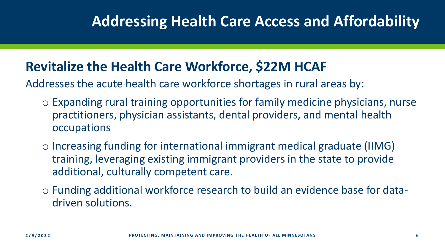#### **Revitalize the Health Care Workforce, \$22M HCAF**

Addresses the acute health care workforce shortages in rural areas by:

- o Expanding rural training opportunities for family medicine physicians, nurse practitioners, physician assistants, dental providers, and mental health occupations
- o Increasing funding for international immigrant medical graduate (IIMG) training, leveraging existing immigrant providers in the state to provide additional, culturally competent care.
- o Funding additional workforce research to build an evidence base for datadriven solutions.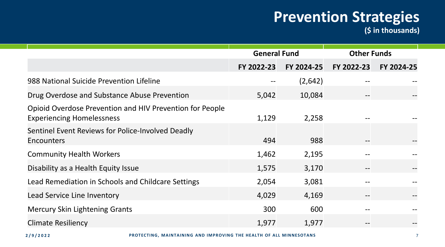**(\$ in thousands)**

|                                                                                              | <b>General Fund</b> |            | <b>Other Funds</b> |            |
|----------------------------------------------------------------------------------------------|---------------------|------------|--------------------|------------|
|                                                                                              | FY 2022-23          | FY 2024-25 | FY 2022-23         | FY 2024-25 |
| 988 National Suicide Prevention Lifeline                                                     |                     | (2,642)    |                    |            |
| Drug Overdose and Substance Abuse Prevention                                                 | 5,042               | 10,084     |                    |            |
| Opioid Overdose Prevention and HIV Prevention for People<br><b>Experiencing Homelessness</b> | 1,129               | 2,258      |                    |            |
| Sentinel Event Reviews for Police-Involved Deadly<br>Encounters                              | 494                 | 988        |                    |            |
| <b>Community Health Workers</b>                                                              | 1,462               | 2,195      |                    |            |
| Disability as a Health Equity Issue                                                          | 1,575               | 3,170      | $- -$              |            |
| Lead Remediation in Schools and Childcare Settings                                           | 2,054               | 3,081      |                    |            |
| Lead Service Line Inventory                                                                  | 4,029               | 4,169      |                    |            |
| <b>Mercury Skin Lightening Grants</b>                                                        | 300                 | 600        |                    |            |
| <b>Climate Resiliency</b>                                                                    | 1,977               | 1,977      |                    |            |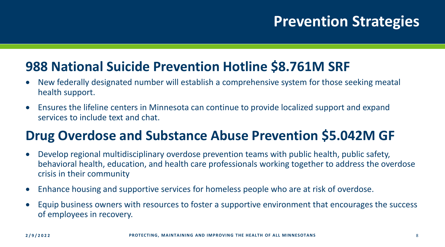#### **988 National Suicide Prevention Hotline \$8.761M SRF**

- New federally designated number will establish a comprehensive system for those seeking meatal health support.
- Ensures the lifeline centers in Minnesota can continue to provide localized support and expand services to include text and chat.

#### **Drug Overdose and Substance Abuse Prevention \$5.042M GF**

- Develop regional multidisciplinary overdose prevention teams with public health, public safety, behavioral health, education, and health care professionals working together to address the overdose crisis in their community
- Enhance housing and supportive services for homeless people who are at risk of overdose.
- Equip business owners with resources to foster a supportive environment that encourages the success of employees in recovery.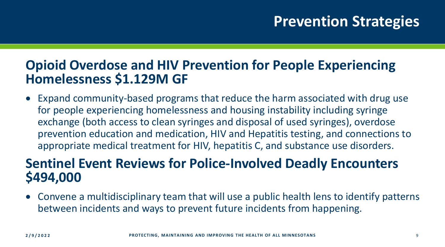#### **Opioid Overdose and HIV Prevention for People Experiencing Homelessness \$1.129M GF**

• Expand community-based programs that reduce the harm associated with drug use for people experiencing homelessness and housing instability including syringe exchange (both access to clean syringes and disposal of used syringes), overdose prevention education and medication, HIV and Hepatitis testing, and connections to appropriate medical treatment for HIV, hepatitis C, and substance use disorders.

#### **Sentinel Event Reviews for Police-Involved Deadly Encounters \$494,000**

• Convene a multidisciplinary team that will use a public health lens to identify patterns between incidents and ways to prevent future incidents from happening.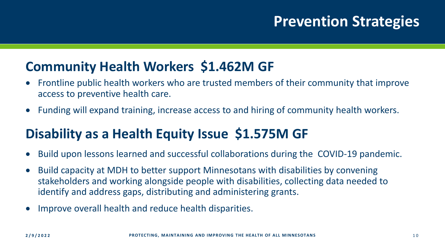#### **Community Health Workers \$1.462M GF**

- Frontline public health workers who are trusted members of their community that improve access to preventive health care.
- Funding will expand training, increase access to and hiring of community health workers.

### **Disability as a Health Equity Issue \$1.575M GF**

- Build upon lessons learned and successful collaborations during the COVID-19 pandemic.
- Build capacity at MDH to better support Minnesotans with disabilities by convening stakeholders and working alongside people with disabilities, collecting data needed to identify and address gaps, distributing and administering grants.
- Improve overall health and reduce health disparities.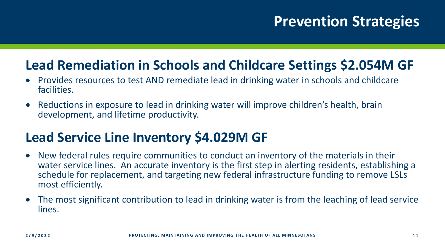#### **Lead Remediation in Schools and Childcare Settings \$2.054M GF**

- Provides resources to test AND remediate lead in drinking water in schools and childcare facilities.
- Reductions in exposure to lead in drinking water will improve children's health, brain development, and lifetime productivity.

### **Lead Service Line Inventory \$4.029M GF**

- New federal rules require communities to conduct an inventory of the materials in their water service lines. An accurate inventory is the first step in alerting residents, establishing a schedule for replacement, and targeting new federal infrastructure funding to remove LSLs most efficiently.
- The most significant contribution to lead in drinking water is from the leaching of lead service lines.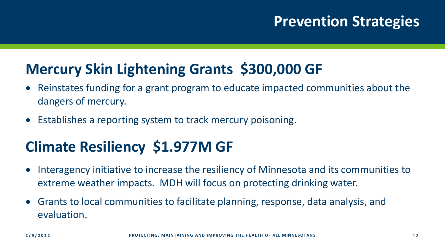## **Mercury Skin Lightening Grants \$300,000 GF**

- Reinstates funding for a grant program to educate impacted communities about the dangers of mercury.
- Establishes a reporting system to track mercury poisoning.

## **Climate Resiliency \$1.977M GF**

- Interagency initiative to increase the resiliency of Minnesota and its communities to extreme weather impacts. MDH will focus on protecting drinking water.
- Grants to local communities to facilitate planning, response, data analysis, and evaluation.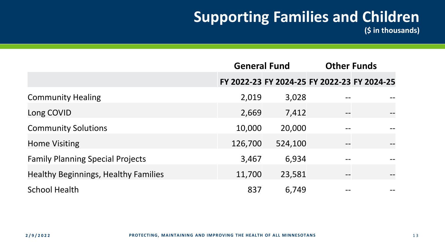**(\$ in thousands)**

|                                             | <b>General Fund</b> |         |                   | <b>Other Funds</b>                          |
|---------------------------------------------|---------------------|---------|-------------------|---------------------------------------------|
|                                             |                     |         |                   | FY 2022-23 FY 2024-25 FY 2022-23 FY 2024-25 |
| <b>Community Healing</b>                    | 2,019               | 3,028   |                   |                                             |
| Long COVID                                  | 2,669               | 7,412   | $\qquad \qquad -$ |                                             |
| <b>Community Solutions</b>                  | 10,000              | 20,000  |                   |                                             |
| <b>Home Visiting</b>                        | 126,700             | 524,100 | $- -$             |                                             |
| <b>Family Planning Special Projects</b>     | 3,467               | 6,934   |                   |                                             |
| <b>Healthy Beginnings, Healthy Families</b> | 11,700              | 23,581  |                   |                                             |
| <b>School Health</b>                        | 837                 | 6,749   |                   |                                             |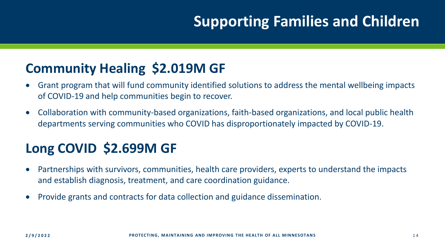#### **Community Healing \$2.019M GF**

- Grant program that will fund community identified solutions to address the mental wellbeing impacts of COVID-19 and help communities begin to recover.
- Collaboration with community-based organizations, faith-based organizations, and local public health departments serving communities who COVID has disproportionately impacted by COVID-19.

## **Long COVID \$2.699M GF**

- Partnerships with survivors, communities, health care providers, experts to understand the impacts and establish diagnosis, treatment, and care coordination guidance.
- Provide grants and contracts for data collection and guidance dissemination.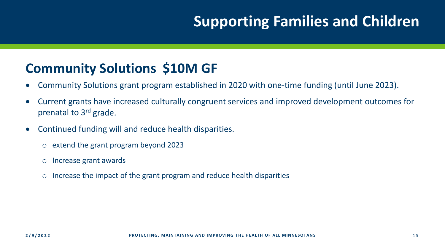#### **Community Solutions \$10M GF**

- Community Solutions grant program established in 2020 with one-time funding (until June 2023).
- Current grants have increased culturally congruent services and improved development outcomes for prenatal to 3rd grade.
- Continued funding will and reduce health disparities.
	- o extend the grant program beyond 2023
	- o Increase grant awards
	- $\circ$  Increase the impact of the grant program and reduce health disparities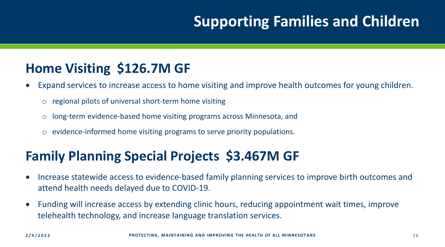#### **Home Visiting \$126.7M GF**

- Expand services to increase access to home visiting and improve health outcomes for young children.
	- o regional pilots of universal short-term home visiting
	- o long-term evidence-based home visiting programs across Minnesota, and
	- o evidence-informed home visiting programs to serve priority populations.

#### **Family Planning Special Projects \$3.467M GF**

- Increase statewide access to evidence-based family planning services to improve birth outcomes and attend health needs delayed due to COVID-19.
- Funding will increase access by extending clinic hours, reducing appointment wait times, improve telehealth technology, and increase language translation services.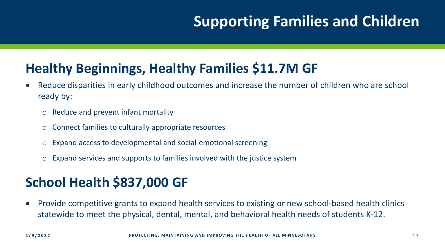#### **Healthy Beginnings, Healthy Families \$11.7M GF**

- Reduce disparities in early childhood outcomes and increase the number of children who are school ready by:
	- o Reduce and prevent infant mortality
	- o Connect families to culturally appropriate resources
	- o Expand access to developmental and social-emotional screening
	- o Expand services and supports to families involved with the justice system

### **School Health \$837,000 GF**

• Provide competitive grants to expand health services to existing or new school-based health clinics statewide to meet the physical, dental, mental, and behavioral health needs of students K-12.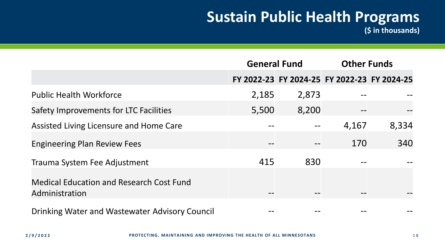**(\$ in thousands)**

|                                                                   | <b>General Fund</b> |       | <b>Other Funds</b> |                                             |
|-------------------------------------------------------------------|---------------------|-------|--------------------|---------------------------------------------|
|                                                                   |                     |       |                    | FY 2022-23 FY 2024-25 FY 2022-23 FY 2024-25 |
| <b>Public Health Workforce</b>                                    | 2,185               | 2,873 |                    |                                             |
| <b>Safety Improvements for LTC Facilities</b>                     | 5,500               | 8,200 |                    |                                             |
| Assisted Living Licensure and Home Care                           |                     |       | 4,167              | 8,334                                       |
| <b>Engineering Plan Review Fees</b>                               |                     |       | 170                | 340                                         |
| Trauma System Fee Adjustment                                      | 415                 | 830   |                    |                                             |
| <b>Medical Education and Research Cost Fund</b><br>Administration |                     |       |                    |                                             |
| Dripling Water and Wastowater Advisory Council                    |                     |       |                    |                                             |

Drinking water and wastewater Advisory Council  $\begin{array}{cccc} -\text{-} & -\text{-} & -\text{-} \end{array}$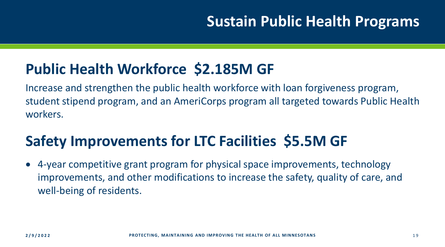## **Public Health Workforce \$2.185M GF**

Increase and strengthen the public health workforce with loan forgiveness program, student stipend program, and an AmeriCorps program all targeted towards Public Health workers.

## **Safety Improvements for LTC Facilities \$5.5M GF**

• 4-year competitive grant program for physical space improvements, technology improvements, and other modifications to increase the safety, quality of care, and well-being of residents.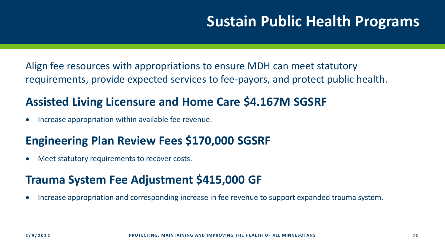Align fee resources with appropriations to ensure MDH can meet statutory requirements, provide expected services to fee-payors, and protect public health.

#### **Assisted Living Licensure and Home Care \$4.167M SGSRF**

• Increase appropriation within available fee revenue.

#### **Engineering Plan Review Fees \$170,000 SGSRF**

• Meet statutory requirements to recover costs.

#### **Trauma System Fee Adjustment \$415,000 GF**

• Increase appropriation and corresponding increase in fee revenue to support expanded trauma system.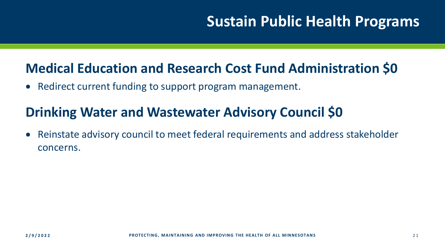#### **Medical Education and Research Cost Fund Administration \$0**

• Redirect current funding to support program management.

#### **Drinking Water and Wastewater Advisory Council \$0**

• Reinstate advisory council to meet federal requirements and address stakeholder concerns.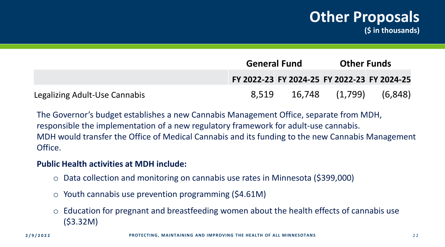#### **Other Proposals (\$ in thousands)**

|                               | <b>General Fund</b> |        | <b>Other Funds</b> |                                             |
|-------------------------------|---------------------|--------|--------------------|---------------------------------------------|
|                               |                     |        |                    | FY 2022-23 FY 2024-25 FY 2022-23 FY 2024-25 |
| Legalizing Adult-Use Cannabis | 8.519               | 16.748 | (1,799)            | (6, 848)                                    |

The Governor's budget establishes a new Cannabis Management Office, separate from MDH, responsible the implementation of a new regulatory framework for adult-use cannabis. MDH would transfer the Office of Medical Cannabis and its funding to the new Cannabis Management Office.

#### **Public Health activities at MDH include:**

- o Data collection and monitoring on cannabis use rates in Minnesota (\$399,000)
- $\circ$  Youth cannabis use prevention programming (\$4.61M)
- Education for pregnant and breastfeeding women about the health effects of cannabis use (\$3.32M)

**2/9/2022 PROTECTING, MAINTAINING AND IMPROVING THE HEALTH OF ALL MINNESOTANS** 2 2